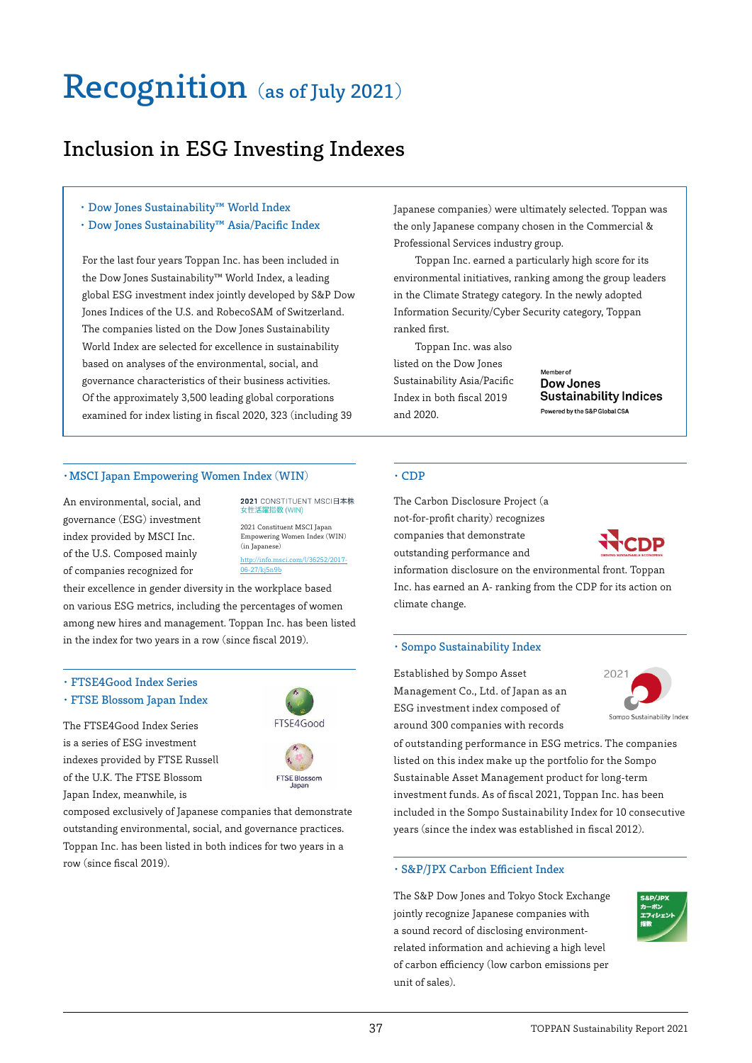## Recognition (as of July 2021)

### Inclusion in ESG Investing Indexes

- ・ Dow Jones Sustainability™ World Index
- ・ Dow Jones Sustainability™ Asia/Pacific Index

For the last four years Toppan Inc. has been included in the Dow Jones Sustainability™ World Index, a leading global ESG investment index jointly developed by S&P Dow Jones Indices of the U.S. and RobecoSAM of Switzerland. The companies listed on the Dow Jones Sustainability World Index are selected for excellence in sustainability based on analyses of the environmental, social, and governance characteristics of their business activities. Of the approximately 3,500 leading global corporations examined for index listing in fiscal 2020, 323 (including 39

#### ・MSCI Japan Empowering Women Index (WIN)

An environmental, social, and governance (ESG) investment index provided by MSCI Inc. of the U.S. Composed mainly of companies recognized for

2021 CONSTITUENT MSCI日本株 E活躍指数 (WIN) 2021 Constituent MSCI Japan

http://info.msci.com/l/36252/2017- Empowering Women Index (WIN) (in Japanese)

06-27/kj5n9b

FTSE4Good

**FTSE Blossom** 

their excellence in gender diversity in the workplace based on various ESG metrics, including the percentages of women among new hires and management. Toppan Inc. has been listed in the index for two years in a row (since fiscal 2019).

#### ・ FTSE4Good Index Series

・FTSE Blossom Japan Index

The FTSE4Good Index Series is a series of ESG investment indexes provided by FTSE Russell of the U.K. The FTSE Blossom Japan Index, meanwhile, is

composed exclusively of Japanese companies that demonstrate outstanding environmental, social, and governance practices. Toppan Inc. has been listed in both indices for two years in a row (since fiscal 2019).

#### Japanese companies) were ultimately selected. Toppan was the only Japanese company chosen in the Commercial & Professional Services industry group.

Toppan Inc. earned a particularly high score for its environmental initiatives, ranking among the group leaders in the Climate Strategy category. In the newly adopted Information Security/Cyber Security category, Toppan ranked first.

Toppan Inc. was also listed on the Dow Jones Sustainability Asia/Pacific Index in both fiscal 2019 and 2020.

Member of Dow Jones **Sustainability Indices** Powered by the S&P Global CSA

#### ・CDP

The Carbon Disclosure Project (a not-for-profit charity) recognizes companies that demonstrate outstanding performance and



information disclosure on the environmental front. Toppan Inc. has earned an A- ranking from the CDP for its action on climate change.

#### ・Sompo Sustainability Index

Established by Sompo Asset Management Co., Ltd. of Japan as an ESG investment index composed of around 300 companies with records

Sompo Sustainability Index

of outstanding performance in ESG metrics. The companies listed on this index make up the portfolio for the Sompo Sustainable Asset Management product for long-term investment funds. As of fiscal 2021, Toppan Inc. has been included in the Sompo Sustainability Index for 10 consecutive years (since the index was established in fiscal 2012).

#### ・S&P/JPX Carbon Efficient Index

The S&P Dow Jones and Tokyo Stock Exchange jointly recognize Japanese companies with a sound record of disclosing environmentrelated information and achieving a high level of carbon efficiency (low carbon emissions per unit of sales).

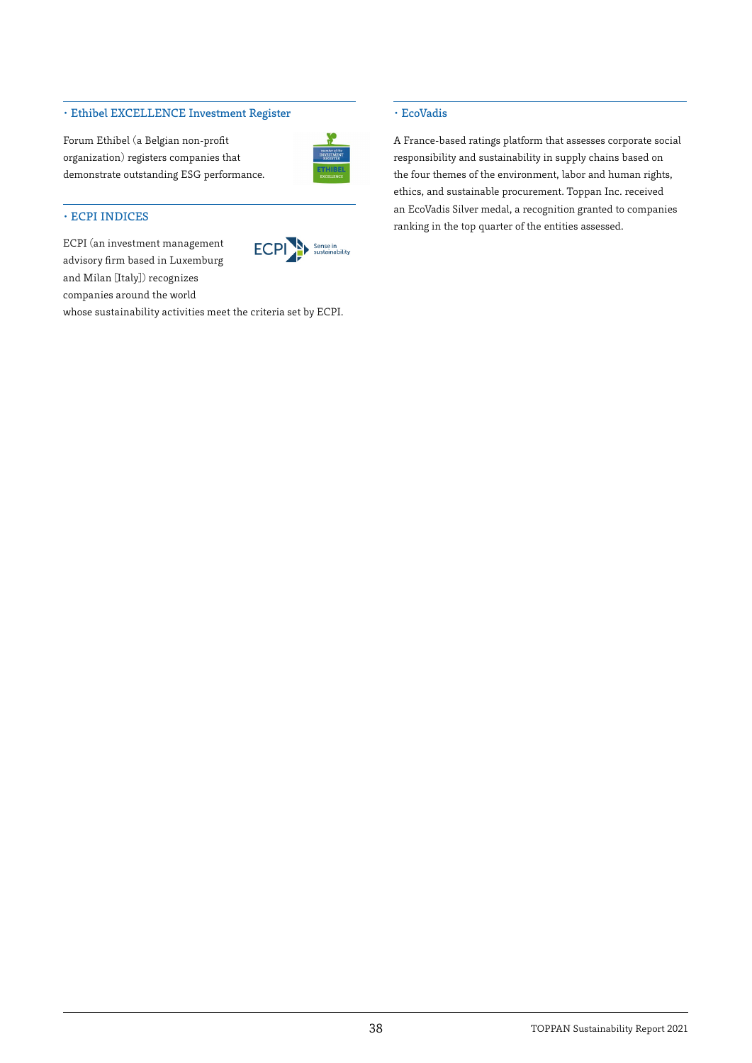#### ・Ethibel EXCELLENCE Investment Register

Forum Ethibel (a Belgian non-profit organization) registers companies that demonstrate outstanding ESG performance.



#### ・ECPI INDICES

ECPI (an investment management advisory firm based in Luxemburg and Milan [Italy]) recognizes companies around the world



whose sustainability activities meet the criteria set by ECPI.

#### ・EcoVadis

A France-based ratings platform that assesses corporate social responsibility and sustainability in supply chains based on the four themes of the environment, labor and human rights, ethics, and sustainable procurement. Toppan Inc. received an EcoVadis Silver medal, a recognition granted to companies ranking in the top quarter of the entities assessed.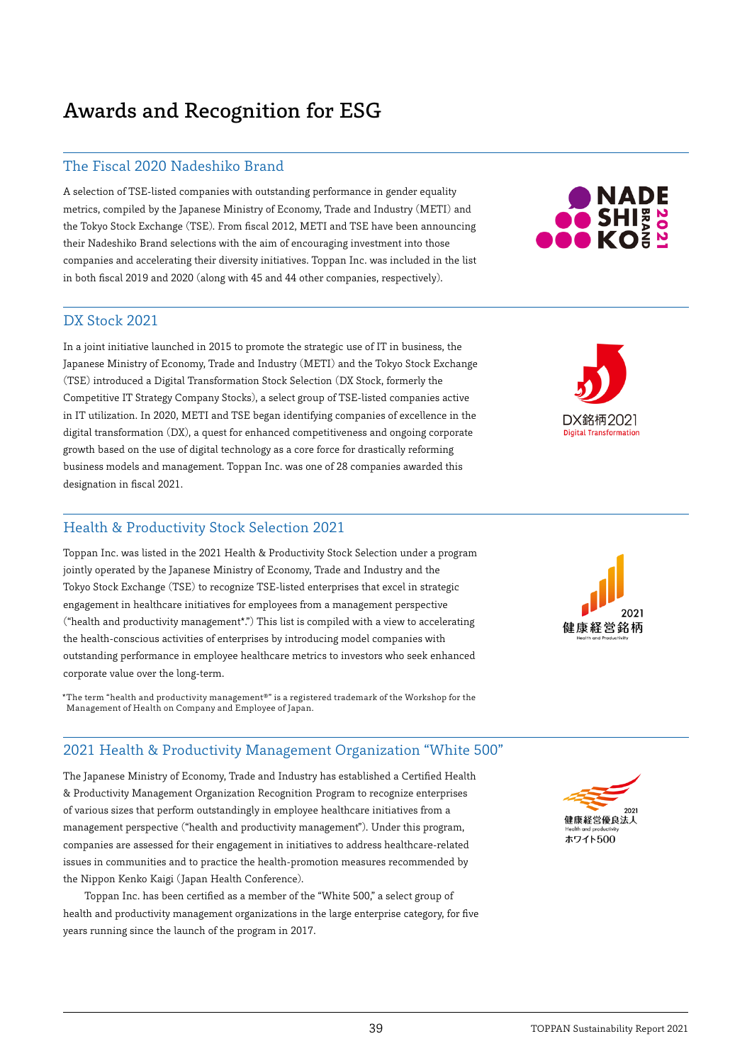## Awards and Recognition for ESG

#### The Fiscal 2020 Nadeshiko Brand

A selection of TSE-listed companies with outstanding performance in gender equality metrics, compiled by the Japanese Ministry of Economy, Trade and Industry (METI) and the Tokyo Stock Exchange (TSE). From fiscal 2012, METI and TSE have been announcing their Nadeshiko Brand selections with the aim of encouraging investment into those companies and accelerating their diversity initiatives. Toppan Inc. was included in the list in both fiscal 2019 and 2020 (along with 45 and 44 other companies, respectively).

# **NADE**<br>SHI<mark>≋ 8</mark><br>LKO≦ <sup>8</sup>

#### DX Stock 2021

In a joint initiative launched in 2015 to promote the strategic use of IT in business, the Japanese Ministry of Economy, Trade and Industry (METI) and the Tokyo Stock Exchange (TSE) introduced a Digital Transformation Stock Selection (DX Stock, formerly the Competitive IT Strategy Company Stocks), a select group of TSE-listed companies active in IT utilization. In 2020, METI and TSE began identifying companies of excellence in the digital transformation (DX), a quest for enhanced competitiveness and ongoing corporate growth based on the use of digital technology as a core force for drastically reforming business models and management. Toppan Inc. was one of 28 companies awarded this designation in fiscal 2021.

#### Health & Productivity Stock Selection 2021

Toppan Inc. was listed in the 2021 Health & Productivity Stock Selection under a program jointly operated by the Japanese Ministry of Economy, Trade and Industry and the Tokyo Stock Exchange (TSE) to recognize TSE-listed enterprises that excel in strategic engagement in healthcare initiatives for employees from a management perspective ("health and productivity management\*.") This list is compiled with a view to accelerating the health-conscious activities of enterprises by introducing model companies with outstanding performance in employee healthcare metrics to investors who seek enhanced corporate value over the long-term.

\*The term "health and productivity management®" is a registered trademark of the Workshop for the Management of Health on Company and Employee of Japan.

#### 2021 Health & Productivity Management Organization "White 500"

The Japanese Ministry of Economy, Trade and Industry has established a Certified Health & Productivity Management Organization Recognition Program to recognize enterprises of various sizes that perform outstandingly in employee healthcare initiatives from a management perspective ("health and productivity management"). Under this program, companies are assessed for their engagement in initiatives to address healthcare-related issues in communities and to practice the health-promotion measures recommended by the Nippon Kenko Kaigi (Japan Health Conference).

Toppan Inc. has been certified as a member of the "White 500," a select group of health and productivity management organizations in the large enterprise category, for five years running since the launch of the program in 2017.





DX銘柄2021 **Digital Transformation**